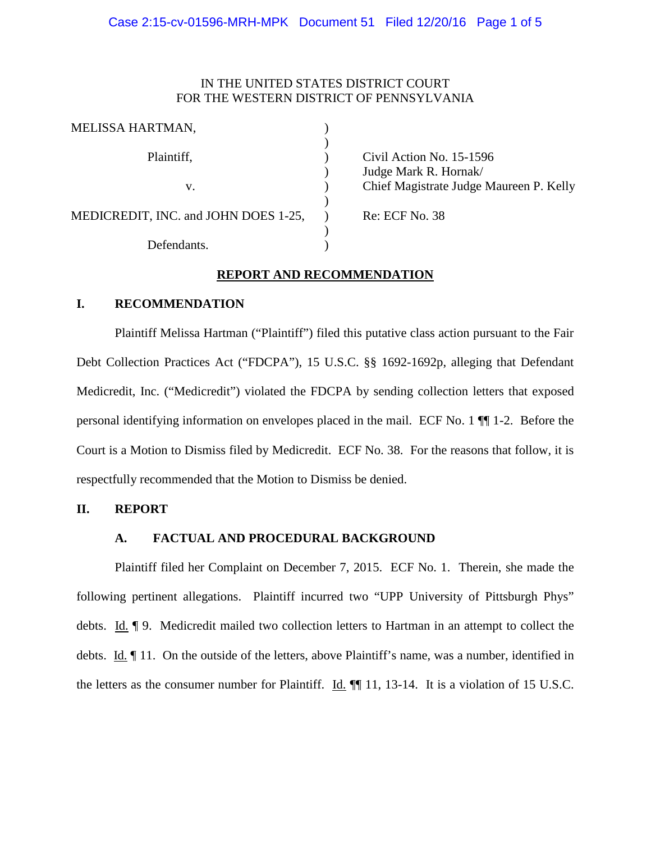# IN THE UNITED STATES DISTRICT COURT FOR THE WESTERN DISTRICT OF PENNSYLVANIA

| Civil Action No. 15-1596                |
|-----------------------------------------|
| Judge Mark R. Hornak/                   |
| Chief Magistrate Judge Maureen P. Kelly |
|                                         |
| <b>Re: ECF No. 38</b>                   |
|                                         |
|                                         |
|                                         |

# **REPORT AND RECOMMENDATION**

## **I. RECOMMENDATION**

Plaintiff Melissa Hartman ("Plaintiff") filed this putative class action pursuant to the Fair Debt Collection Practices Act ("FDCPA"), 15 U.S.C. §§ 1692-1692p, alleging that Defendant Medicredit, Inc. ("Medicredit") violated the FDCPA by sending collection letters that exposed personal identifying information on envelopes placed in the mail. ECF No. 1 ¶¶ 1-2. Before the Court is a Motion to Dismiss filed by Medicredit. ECF No. 38. For the reasons that follow, it is respectfully recommended that the Motion to Dismiss be denied.

### **II. REPORT**

## **A. FACTUAL AND PROCEDURAL BACKGROUND**

Plaintiff filed her Complaint on December 7, 2015. ECF No. 1. Therein, she made the following pertinent allegations. Plaintiff incurred two "UPP University of Pittsburgh Phys" debts. Id. ¶ 9. Medicredit mailed two collection letters to Hartman in an attempt to collect the debts. Id. ¶ 11. On the outside of the letters, above Plaintiff's name, was a number, identified in the letters as the consumer number for Plaintiff. Id. ¶¶ 11, 13-14. It is a violation of 15 U.S.C.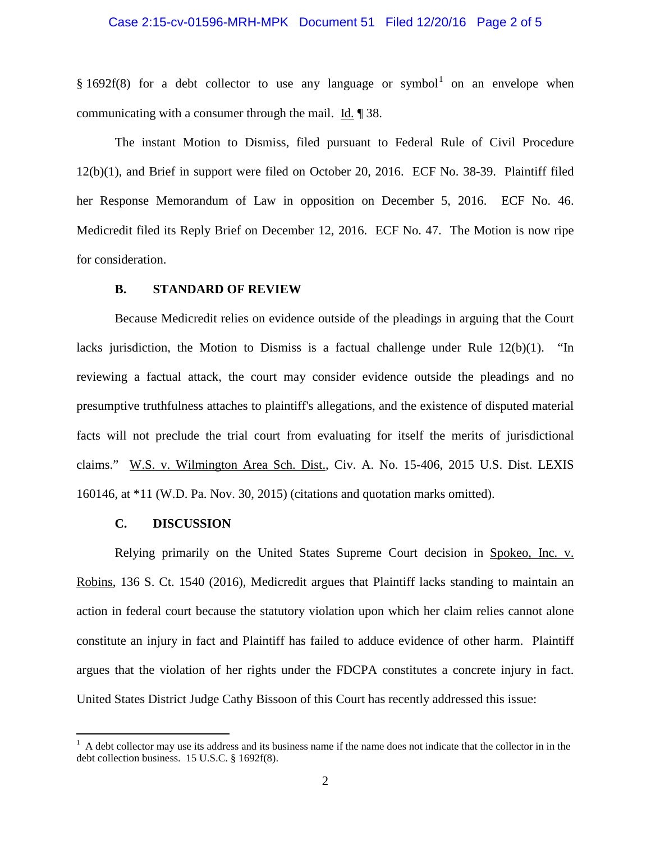### Case 2:15-cv-01596-MRH-MPK Document 51 Filed 12/20/16 Page 2 of 5

§ [1](#page-1-0)692f(8) for a debt collector to use any language or symbol<sup>1</sup> on an envelope when communicating with a consumer through the mail. Id. ¶ 38.

The instant Motion to Dismiss, filed pursuant to Federal Rule of Civil Procedure 12(b)(1), and Brief in support were filed on October 20, 2016. ECF No. 38-39. Plaintiff filed her Response Memorandum of Law in opposition on December 5, 2016. ECF No. 46. Medicredit filed its Reply Brief on December 12, 2016. ECF No. 47. The Motion is now ripe for consideration.

#### **B. STANDARD OF REVIEW**

Because Medicredit relies on evidence outside of the pleadings in arguing that the Court lacks jurisdiction, the Motion to Dismiss is a factual challenge under Rule 12(b)(1). "In reviewing a factual attack, the court may consider evidence outside the pleadings and no presumptive truthfulness attaches to plaintiff's allegations, and the existence of disputed material facts will not preclude the trial court from evaluating for itself the merits of jurisdictional claims." W.S. v. Wilmington Area Sch. Dist., Civ. A. No. 15-406, 2015 U.S. Dist. LEXIS 160146, at \*11 (W.D. Pa. Nov. 30, 2015) (citations and quotation marks omitted).

### **C. DISCUSSION**

Relying primarily on the United States Supreme Court decision in Spokeo, Inc. v. Robins, 136 S. Ct. 1540 (2016), Medicredit argues that Plaintiff lacks standing to maintain an action in federal court because the statutory violation upon which her claim relies cannot alone constitute an injury in fact and Plaintiff has failed to adduce evidence of other harm. Plaintiff argues that the violation of her rights under the FDCPA constitutes a concrete injury in fact. United States District Judge Cathy Bissoon of this Court has recently addressed this issue:

<span id="page-1-0"></span> $\frac{1}{1}$  $A$  debt collector may use its address and its business name if the name does not indicate that the collector in in the debt collection business. 15 U.S.C. § 1692f(8).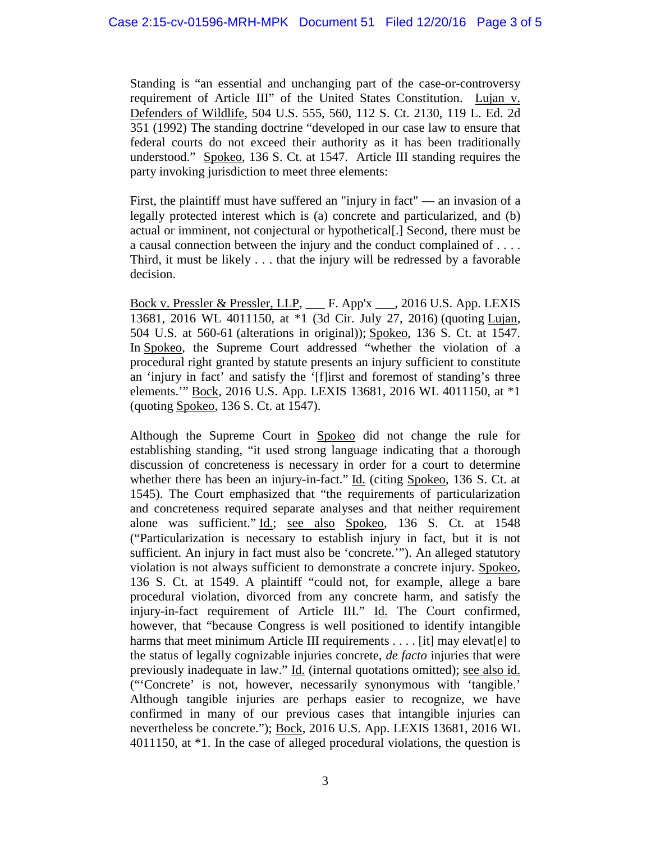Standing is "an essential and unchanging part of the case-or-controversy requirement of Article III" of the United States Constitution. Lujan v. Defenders of Wildlife, 504 U.S. 555, 560, 112 S. Ct. 2130, 119 L. Ed. 2d 351 (1992) The standing doctrine "developed in our case law to ensure that federal courts do not exceed their authority as it has been traditionally understood." Spokeo, 136 S. Ct. at 1547. Article III standing requires the party invoking jurisdiction to meet three elements:

First, the plaintiff must have suffered an "injury in fact" — an invasion of a legally protected interest which is (a) concrete and particularized, and (b) actual or imminent, not conjectural or hypothetical[.] Second, there must be a causal connection between the injury and the conduct complained of . . . . Third, it must be likely . . . that the injury will be redressed by a favorable decision.

Bock v. Pressler & Pressler, LLP, \_\_\_ F. App'x \_\_\_, 2016 U.S. App. LEXIS 13681, 2016 WL 4011150, at \*1 (3d Cir. July 27, 2016) (quoting Lujan, 504 U.S. at 560-61 (alterations in original)); Spokeo, 136 S. Ct. at 1547. In Spokeo, the Supreme Court addressed "whether the violation of a procedural right granted by statute presents an injury sufficient to constitute an 'injury in fact' and satisfy the '[f]irst and foremost of standing's three elements." Bock, 2016 U.S. App. LEXIS 13681, 2016 WL 4011150, at \*1 (quoting Spokeo, 136 S. Ct. at 1547).

Although the Supreme Court in Spokeo did not change the rule for establishing standing, "it used strong language indicating that a thorough discussion of concreteness is necessary in order for a court to determine whether there has been an injury-in-fact." Id. (citing Spokeo, 136 S. Ct. at 1545). The Court emphasized that "the requirements of particularization and concreteness required separate analyses and that neither requirement alone was sufficient." Id.; see also Spokeo, 136 S. Ct. at 1548 ("Particularization is necessary to establish injury in fact, but it is not sufficient. An injury in fact must also be 'concrete.'"). An alleged statutory violation is not always sufficient to demonstrate a concrete injury. Spokeo, 136 S. Ct. at 1549. A plaintiff "could not, for example, allege a bare procedural violation, divorced from any concrete harm, and satisfy the injury-in-fact requirement of Article III." Id. The Court confirmed, however, that "because Congress is well positioned to identify intangible harms that meet minimum Article III requirements . . . . [it] may elevat[e] to the status of legally cognizable injuries concrete, *de facto* injuries that were previously inadequate in law." Id. (internal quotations omitted); see also id. ("'Concrete' is not, however, necessarily synonymous with 'tangible.' Although tangible injuries are perhaps easier to recognize, we have confirmed in many of our previous cases that intangible injuries can nevertheless be concrete."); Bock, 2016 U.S. App. LEXIS 13681, 2016 WL 4011150, at \*1. In the case of alleged procedural violations, the question is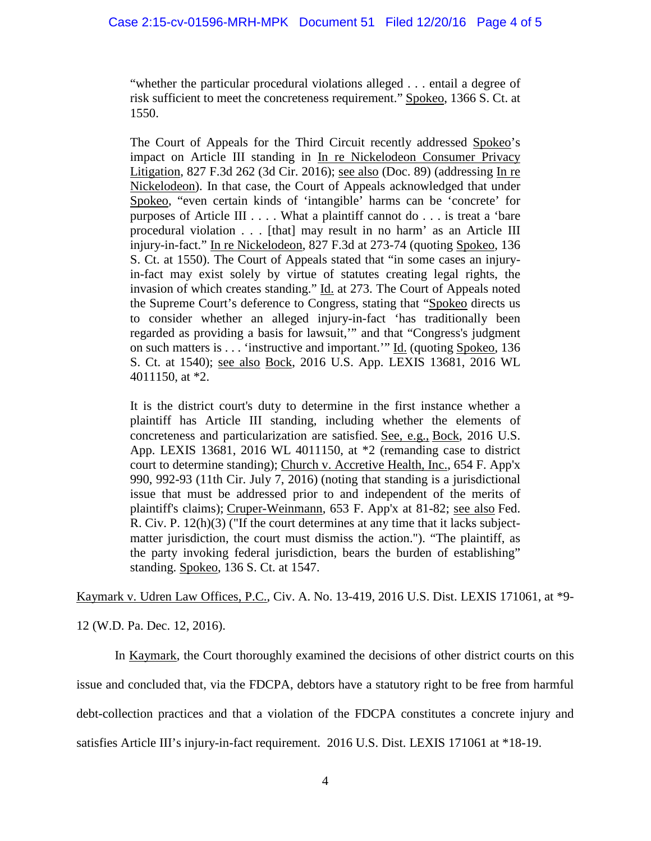"whether the particular procedural violations alleged . . . entail a degree of risk sufficient to meet the concreteness requirement." Spokeo, 1366 S. Ct. at 1550.

The Court of Appeals for the Third Circuit recently addressed Spokeo's impact on Article III standing in In re Nickelodeon Consumer Privacy Litigation, 827 F.3d 262 (3d Cir. 2016); see also (Doc. 89) (addressing In re Nickelodeon). In that case, the Court of Appeals acknowledged that under Spokeo, "even certain kinds of 'intangible' harms can be 'concrete' for purposes of Article III . . . . What a plaintiff cannot do . . . is treat a 'bare procedural violation . . . [that] may result in no harm' as an Article III injury-in-fact." In re Nickelodeon, 827 F.3d at 273-74 (quoting Spokeo, 136 S. Ct. at 1550). The Court of Appeals stated that "in some cases an injuryin-fact may exist solely by virtue of statutes creating legal rights, the invasion of which creates standing." Id. at 273. The Court of Appeals noted the Supreme Court's deference to Congress, stating that "Spokeo directs us to consider whether an alleged injury-in-fact 'has traditionally been regarded as providing a basis for lawsuit,'" and that "Congress's judgment on such matters is . . . 'instructive and important.'" Id. (quoting Spokeo, 136 S. Ct. at 1540); see also Bock, 2016 U.S. App. LEXIS 13681, 2016 WL 4011150, at \*2.

It is the district court's duty to determine in the first instance whether a plaintiff has Article III standing, including whether the elements of concreteness and particularization are satisfied. See, e.g., Bock, 2016 U.S. App. LEXIS 13681, 2016 WL 4011150, at \*2 (remanding case to district court to determine standing); Church v. Accretive Health, Inc., 654 F. App'x 990, 992-93 (11th Cir. July 7, 2016) (noting that standing is a jurisdictional issue that must be addressed prior to and independent of the merits of plaintiff's claims); Cruper-Weinmann, 653 F. App'x at 81-82; see also Fed. R. Civ. P. 12(h)(3) ("If the court determines at any time that it lacks subjectmatter jurisdiction, the court must dismiss the action."). "The plaintiff, as the party invoking federal jurisdiction, bears the burden of establishing" standing. Spokeo, 136 S. Ct. at 1547.

Kaymark v. Udren Law Offices, P.C., Civ. A. No. 13-419, 2016 U.S. Dist. LEXIS 171061, at \*9-

12 (W.D. Pa. Dec. 12, 2016).

In Kaymark, the Court thoroughly examined the decisions of other district courts on this issue and concluded that, via the FDCPA, debtors have a statutory right to be free from harmful debt-collection practices and that a violation of the FDCPA constitutes a concrete injury and satisfies Article III's injury-in-fact requirement. 2016 U.S. Dist. LEXIS 171061 at \*18-19.